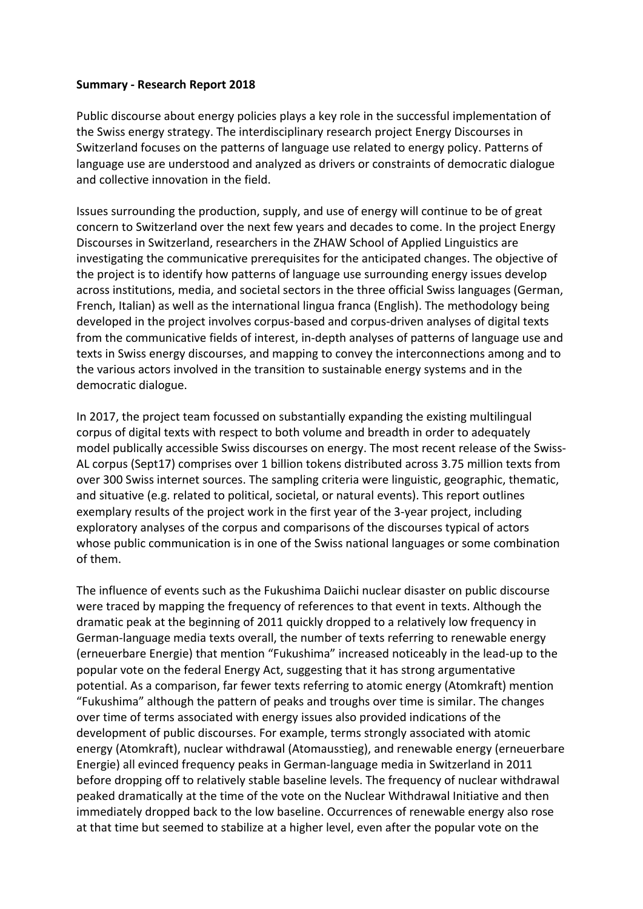## **Summary ‐ Research Report 2018**

Public discourse about energy policies plays a key role in the successful implementation of the Swiss energy strategy. The interdisciplinary research project Energy Discourses in Switzerland focuses on the patterns of language use related to energy policy. Patterns of language use are understood and analyzed as drivers or constraints of democratic dialogue and collective innovation in the field.

Issues surrounding the production, supply, and use of energy will continue to be of great concern to Switzerland over the next few years and decades to come. In the project Energy Discourses in Switzerland, researchers in the ZHAW School of Applied Linguistics are investigating the communicative prerequisites for the anticipated changes. The objective of the project is to identify how patterns of language use surrounding energy issues develop across institutions, media, and societal sectors in the three official Swiss languages (German, French, Italian) as well as the international lingua franca (English). The methodology being developed in the project involves corpus‐based and corpus‐driven analyses of digital texts from the communicative fields of interest, in‐depth analyses of patterns of language use and texts in Swiss energy discourses, and mapping to convey the interconnections among and to the various actors involved in the transition to sustainable energy systems and in the democratic dialogue.

In 2017, the project team focussed on substantially expanding the existing multilingual corpus of digital texts with respect to both volume and breadth in order to adequately model publically accessible Swiss discourses on energy. The most recent release of the Swiss-AL corpus (Sept17) comprises over 1 billion tokens distributed across 3.75 million texts from over 300 Swiss internet sources. The sampling criteria were linguistic, geographic, thematic, and situative (e.g. related to political, societal, or natural events). This report outlines exemplary results of the project work in the first year of the 3‐year project, including exploratory analyses of the corpus and comparisons of the discourses typical of actors whose public communication is in one of the Swiss national languages or some combination of them.

The influence of events such as the Fukushima Daiichi nuclear disaster on public discourse were traced by mapping the frequency of references to that event in texts. Although the dramatic peak at the beginning of 2011 quickly dropped to a relatively low frequency in German‐language media texts overall, the number of texts referring to renewable energy (erneuerbare Energie) that mention "Fukushima" increased noticeably in the lead‐up to the popular vote on the federal Energy Act, suggesting that it has strong argumentative potential. As a comparison, far fewer texts referring to atomic energy (Atomkraft) mention "Fukushima" although the pattern of peaks and troughs over time is similar. The changes over time of terms associated with energy issues also provided indications of the development of public discourses. For example, terms strongly associated with atomic energy (Atomkraft), nuclear withdrawal (Atomausstieg), and renewable energy (erneuerbare Energie) all evinced frequency peaks in German‐language media in Switzerland in 2011 before dropping off to relatively stable baseline levels. The frequency of nuclear withdrawal peaked dramatically at the time of the vote on the Nuclear Withdrawal Initiative and then immediately dropped back to the low baseline. Occurrences of renewable energy also rose at that time but seemed to stabilize at a higher level, even after the popular vote on the